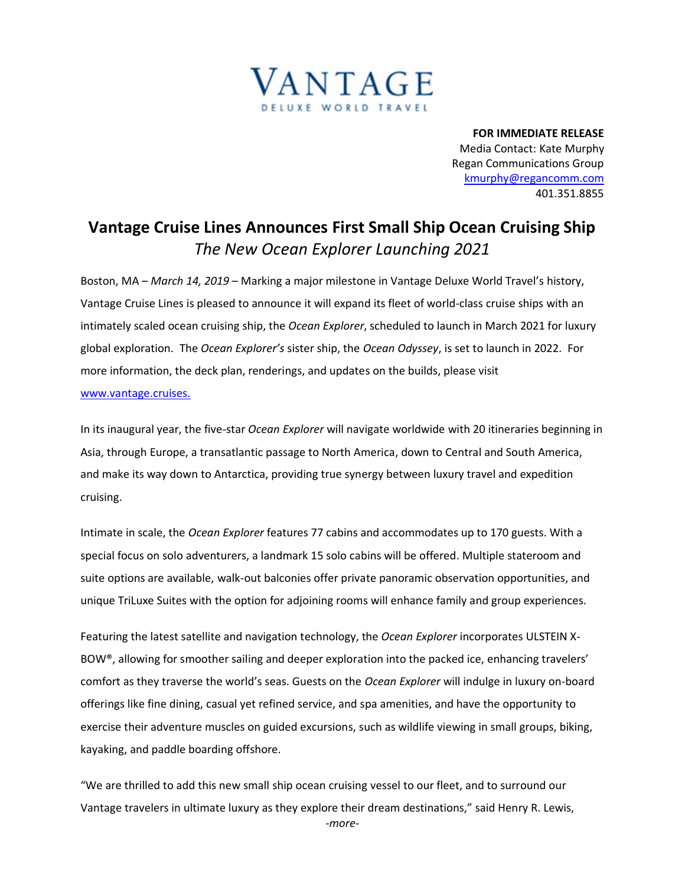

**FOR IMMEDIATE RELEASE** Media Contact: Kate Murphy Regan Communications Group [kmurphy@regancomm.com](mailto:kmurphy@regancomm.com) 401.351.8855

## **Vantage Cruise Lines Announces First Small Ship Ocean Cruising Ship**  *The New Ocean Explorer Launching 2021*

Boston, MA – *March 14, 2019* – Marking a major milestone in Vantage Deluxe World Travel's history, Vantage Cruise Lines is pleased to announce it will expand its fleet of world-class cruise ships with an intimately scaled ocean cruising ship, the *Ocean Explorer*, scheduled to launch in March 2021 for luxury global exploration. The *Ocean Explorer's* sister ship, the *Ocean Odyssey*, is set to launch in 2022. For more information, the deck plan, renderings, and updates on the builds, please visit [www.vantage.cruises.](https://www.vantagetravel.com/preview-departures/2021?mp=PROE&utm_medium=newswire&utm_source=PR&utm_campaign=ReganPR&source=PRRC22&promo=PR20190)

In its inaugural year, the five-star *Ocean Explorer* will navigate worldwide with 20 itineraries beginning in Asia, through Europe, a transatlantic passage to North America, down to Central and South America, and make its way down to Antarctica, providing true synergy between luxury travel and expedition cruising.

Intimate in scale, the *Ocean Explorer* features 77 cabins and accommodates up to 170 guests. With a special focus on solo adventurers, a landmark 15 solo cabins will be offered. Multiple stateroom and suite options are available, walk-out balconies offer private panoramic observation opportunities, and unique TriLuxe Suites with the option for adjoining rooms will enhance family and group experiences.

Featuring the latest satellite and navigation technology, the *Ocean Explorer* incorporates ULSTEIN X-BOW®, allowing for smoother sailing and deeper exploration into the packed ice, enhancing travelers' comfort as they traverse the world's seas. Guests on the *Ocean Explorer* will indulge in luxury on-board offerings like fine dining, casual yet refined service, and spa amenities, and have the opportunity to exercise their adventure muscles on guided excursions, such as wildlife viewing in small groups, biking, kayaking, and paddle boarding offshore.

*-more-* "We are thrilled to add this new small ship ocean cruising vessel to our fleet, and to surround our Vantage travelers in ultimate luxury as they explore their dream destinations," said Henry R. Lewis,